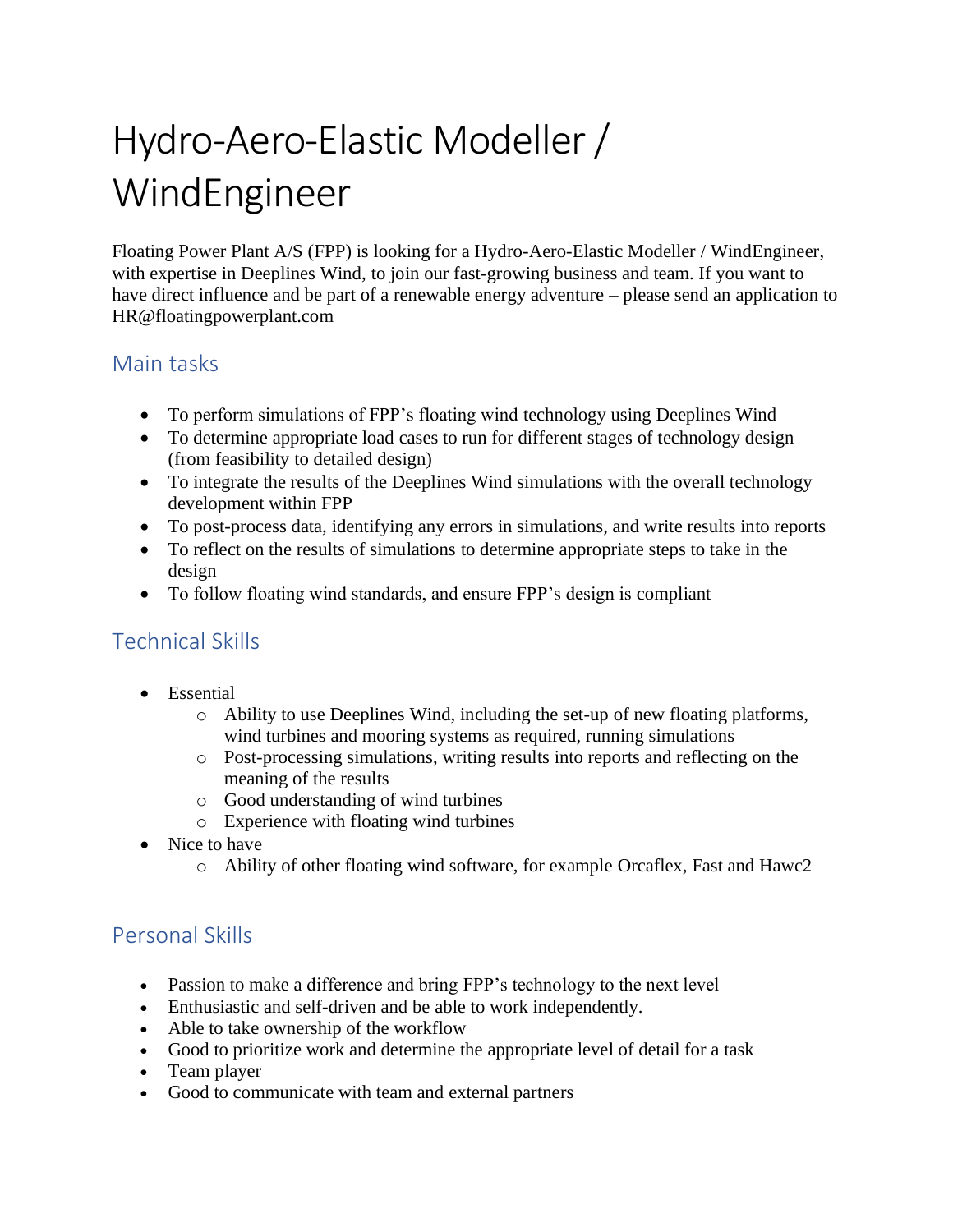# Hydro-Aero-Elastic Modeller / WindEngineer

Floating Power Plant A/S (FPP) is looking for a Hydro-Aero-Elastic Modeller / WindEngineer, with expertise in Deeplines Wind, to join our fast-growing business and team. If you want to have direct influence and be part of a renewable energy adventure – please send an application to HR@floatingpowerplant.com

#### Main tasks

- To perform simulations of FPP's floating wind technology using Deeplines Wind
- To determine appropriate load cases to run for different stages of technology design (from feasibility to detailed design)
- To integrate the results of the Deeplines Wind simulations with the overall technology development within FPP
- To post-process data, identifying any errors in simulations, and write results into reports
- To reflect on the results of simulations to determine appropriate steps to take in the design
- To follow floating wind standards, and ensure FPP's design is compliant

# Technical Skills

- Essential
	- $\circ$  Ability to use Deeplines Wind, including the set-up of new floating platforms, wind turbines and mooring systems as required, running simulations
	- o Post-processing simulations, writing results into reports and reflecting on the meaning of the results
	- o Good understanding of wind turbines
	- o Experience with floating wind turbines
- Nice to have
	- o Ability of other floating wind software, for example Orcaflex, Fast and Hawc2

# Personal Skills

- Passion to make a difference and bring FPP's technology to the next level
- Enthusiastic and self-driven and be able to work independently.
- Able to take ownership of the workflow
- Good to prioritize work and determine the appropriate level of detail for a task
- Team player
- Good to communicate with team and external partners